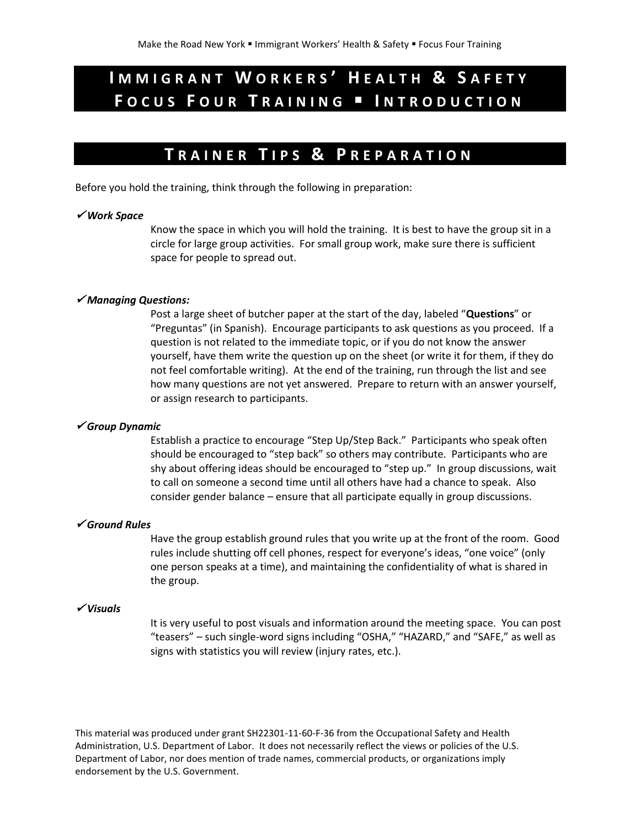# **I M M I G R A N T W O R K E R S ' H E A L T H & S A F E T Y F O C U S F O U R T R A I N I N G I N T R O D U C T I O N**

# **T R A I N E R T I P S & P R E P A R A T I O N**

Before you hold the training, think through the following in preparation:

#### *Work Space*

Know the space in which you will hold the training. It is best to have the group sit in a circle for large group activities. For small group work, make sure there is sufficient space for people to spread out.

### *Managing Questions:*

Post a large sheet of butcher paper at the start of the day, labeled "**Questions**" or "Preguntas" (in Spanish). Encourage participants to ask questions as you proceed. If a question is not related to the immediate topic, or if you do not know the answer yourself, have them write the question up on the sheet (or write it for them, if they do not feel comfortable writing). At the end of the training, run through the list and see how many questions are not yet answered. Prepare to return with an answer yourself, or assign research to participants.

## *Group Dynamic*

Establish a practice to encourage "Step Up/Step Back." Participants who speak often should be encouraged to "step back" so others may contribute. Participants who are shy about offering ideas should be encouraged to "step up." In group discussions, wait to call on someone a second time until all others have had a chance to speak. Also consider gender balance – ensure that all participate equally in group discussions.

#### *Ground Rules*

Have the group establish ground rules that you write up at the front of the room. Good rules include shutting off cell phones, respect for everyone's ideas, "one voice" (only one person speaks at a time), and maintaining the confidentiality of what is shared in the group.

#### *Visuals*

It is very useful to post visuals and information around the meeting space. You can post "teasers" – such single-word signs including "OSHA," "HAZARD," and "SAFE," as well as signs with statistics you will review (injury rates, etc.).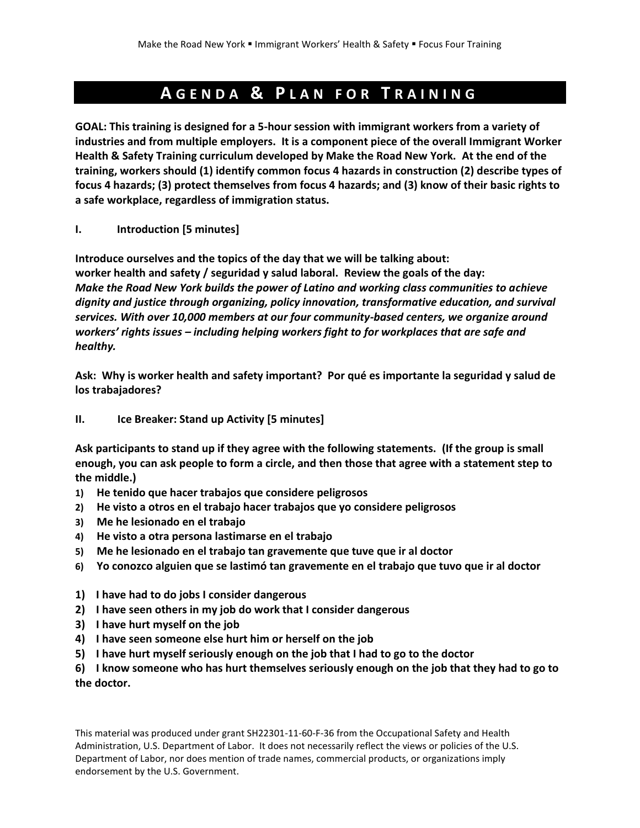# **A G E N D A & P L A N F O R T R A I N I N G**

**GOAL: This training is designed for a 5-hour session with immigrant workers from a variety of industries and from multiple employers. It is a component piece of the overall Immigrant Worker Health & Safety Training curriculum developed by Make the Road New York. At the end of the training, workers should (1) identify common focus 4 hazards in construction (2) describe types of focus 4 hazards; (3) protect themselves from focus 4 hazards; and (3) know of their basic rights to a safe workplace, regardless of immigration status.** 

**I. Introduction [5 minutes]**

**Introduce ourselves and the topics of the day that we will be talking about: worker health and safety / seguridad y salud laboral. Review the goals of the day:** *Make the Road New York builds the power of Latino and working class communities to achieve dignity and justice through organizing, policy innovation, transformative education, and survival services. With over 10,000 members at our four community-based centers, we organize around workers' rights issues – including helping workers fight to for workplaces that are safe and healthy.*

**Ask: Why is worker health and safety important? Por qué es importante la seguridad y salud de los trabajadores?**

**II. Ice Breaker: Stand up Activity [5 minutes]**

**Ask participants to stand up if they agree with the following statements. (If the group is small enough, you can ask people to form a circle, and then those that agree with a statement step to the middle.)**

- **1) He tenido que hacer trabajos que considere peligrosos**
- **2) He visto a otros en el trabajo hacer trabajos que yo considere peligrosos**
- **3) Me he lesionado en el trabajo**
- **4) He visto a otra persona lastimarse en el trabajo**
- **5) Me he lesionado en el trabajo tan gravemente que tuve que ir al doctor**
- **6) Yo conozco alguien que se lastimó tan gravemente en el trabajo que tuvo que ir al doctor**
- **1) I have had to do jobs I consider dangerous**
- **2) I have seen others in my job do work that I consider dangerous**
- **3) I have hurt myself on the job**
- **4) I have seen someone else hurt him or herself on the job**
- **5) I have hurt myself seriously enough on the job that I had to go to the doctor**
- **6) I know someone who has hurt themselves seriously enough on the job that they had to go to the doctor.**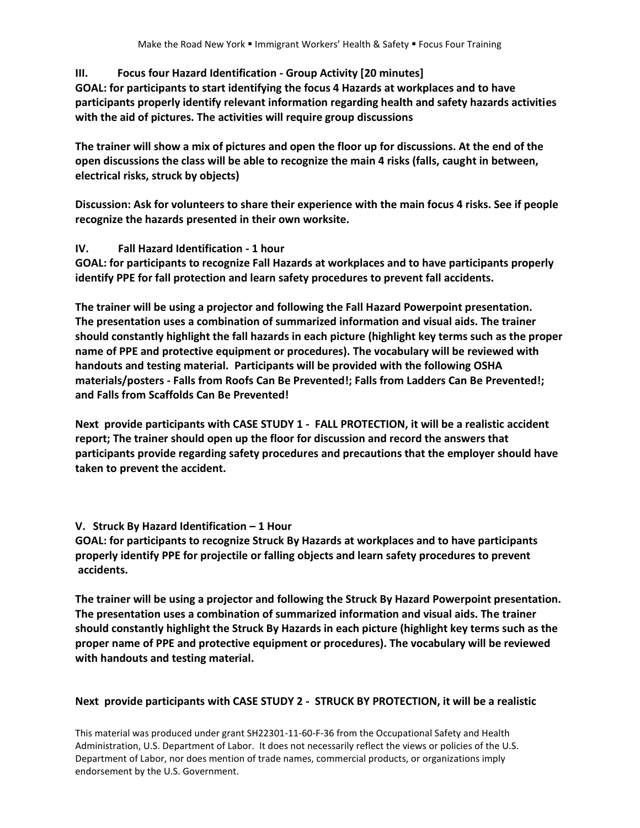# **III. Focus four Hazard Identification - Group Activity [20 minutes]**

**GOAL: for participants to start identifying the focus 4 Hazards at workplaces and to have participants properly identify relevant information regarding health and safety hazards activities with the aid of pictures. The activities will require group discussions** 

**The trainer will show a mix of pictures and open the floor up for discussions. At the end of the open discussions the class will be able to recognize the main 4 risks (falls, caught in between, electrical risks, struck by objects)**

**Discussion: Ask for volunteers to share their experience with the main focus 4 risks. See if people recognize the hazards presented in their own worksite.**

# **IV. Fall Hazard Identification - 1 hour**

**GOAL: for participants to recognize Fall Hazards at workplaces and to have participants properly identify PPE for fall protection and learn safety procedures to prevent fall accidents.**

**The trainer will be using a projector and following the Fall Hazard Powerpoint presentation. The presentation uses a combination of summarized information and visual aids. The trainer should constantly highlight the fall hazards in each picture (highlight key terms such as the proper name of PPE and protective equipment or procedures). The vocabulary will be reviewed with handouts and testing material. Participants will be provided with the following OSHA materials/posters - Falls from Roofs Can Be Prevented!; Falls from Ladders Can Be Prevented!; and Falls from Scaffolds Can Be Prevented!**

**Next provide participants with CASE STUDY 1 - FALL PROTECTION, it will be a realistic accident report; The trainer should open up the floor for discussion and record the answers that participants provide regarding safety procedures and precautions that the employer should have taken to prevent the accident.** 

# **V. Struck By Hazard Identification – 1 Hour**

**GOAL: for participants to recognize Struck By Hazards at workplaces and to have participants properly identify PPE for projectile or falling objects and learn safety procedures to prevent accidents.**

**The trainer will be using a projector and following the Struck By Hazard Powerpoint presentation. The presentation uses a combination of summarized information and visual aids. The trainer should constantly highlight the Struck By Hazards in each picture (highlight key terms such as the proper name of PPE and protective equipment or procedures). The vocabulary will be reviewed with handouts and testing material.** 

# **Next provide participants with CASE STUDY 2 - STRUCK BY PROTECTION, it will be a realistic**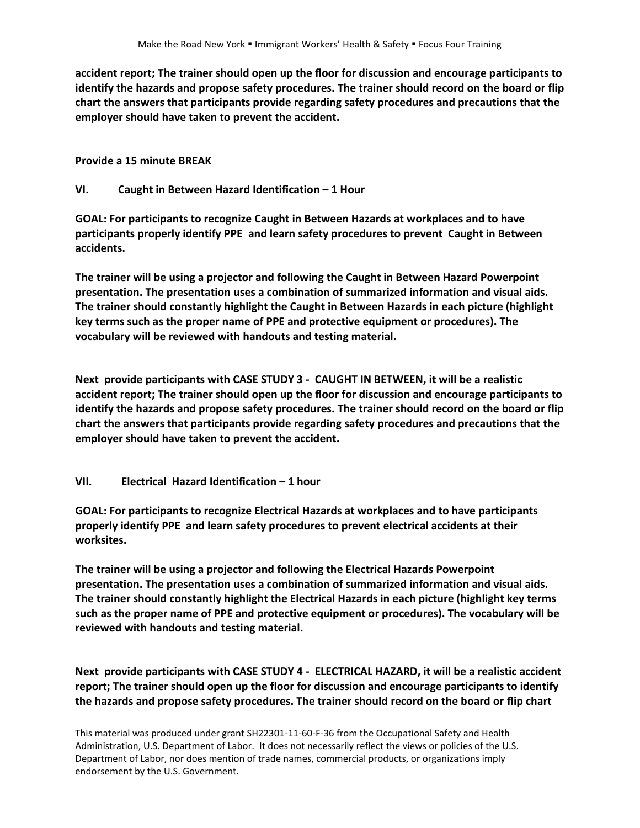**accident report; The trainer should open up the floor for discussion and encourage participants to identify the hazards and propose safety procedures. The trainer should record on the board or flip chart the answers that participants provide regarding safety procedures and precautions that the employer should have taken to prevent the accident.** 

**Provide a 15 minute BREAK** 

### **VI. Caught in Between Hazard Identification – 1 Hour**

**GOAL: For participants to recognize Caught in Between Hazards at workplaces and to have participants properly identify PPE and learn safety procedures to prevent Caught in Between accidents.**

**The trainer will be using a projector and following the Caught in Between Hazard Powerpoint presentation. The presentation uses a combination of summarized information and visual aids. The trainer should constantly highlight the Caught in Between Hazards in each picture (highlight key terms such as the proper name of PPE and protective equipment or procedures). The vocabulary will be reviewed with handouts and testing material.** 

**Next provide participants with CASE STUDY 3 - CAUGHT IN BETWEEN, it will be a realistic accident report; The trainer should open up the floor for discussion and encourage participants to identify the hazards and propose safety procedures. The trainer should record on the board or flip chart the answers that participants provide regarding safety procedures and precautions that the employer should have taken to prevent the accident.** 

#### **VII. Electrical Hazard Identification – 1 hour**

**GOAL: For participants to recognize Electrical Hazards at workplaces and to have participants properly identify PPE and learn safety procedures to prevent electrical accidents at their worksites.**

**The trainer will be using a projector and following the Electrical Hazards Powerpoint presentation. The presentation uses a combination of summarized information and visual aids. The trainer should constantly highlight the Electrical Hazards in each picture (highlight key terms such as the proper name of PPE and protective equipment or procedures). The vocabulary will be reviewed with handouts and testing material.** 

**Next provide participants with CASE STUDY 4 - ELECTRICAL HAZARD, it will be a realistic accident report; The trainer should open up the floor for discussion and encourage participants to identify the hazards and propose safety procedures. The trainer should record on the board or flip chart**